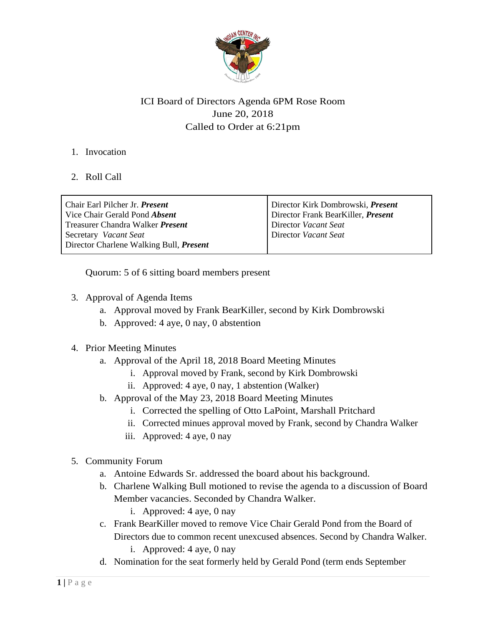

# ICI Board of Directors Agenda 6PM Rose Room June 20, 2018 Called to Order at 6:21pm

### 1. Invocation

## 2. Roll Call

| Chair Earl Pilcher Jr. <i>Present</i><br>Vice Chair Gerald Pond Absent  | Director Kirk Dombrowski, <i>Present</i><br>Director Frank BearKiller, Present |
|-------------------------------------------------------------------------|--------------------------------------------------------------------------------|
| Treasurer Chandra Walker Present                                        | Director Vacant Seat                                                           |
| Secretary Vacant Seat<br>Director Charlene Walking Bull, <i>Present</i> | Director Vacant Seat                                                           |

Quorum: 5 of 6 sitting board members present

- 3. Approval of Agenda Items
	- a. Approval moved by Frank BearKiller, second by Kirk Dombrowski
	- b. Approved: 4 aye, 0 nay, 0 abstention

### 4. Prior Meeting Minutes

- a. Approval of the April 18, 2018 Board Meeting Minutes
	- i. Approval moved by Frank, second by Kirk Dombrowski
	- ii. Approved: 4 aye, 0 nay, 1 abstention (Walker)
- b. Approval of the May 23, 2018 Board Meeting Minutes
	- i. Corrected the spelling of Otto LaPoint, Marshall Pritchard
	- ii. Corrected minues approval moved by Frank, second by Chandra Walker
	- iii. Approved: 4 aye, 0 nay

### 5. Community Forum

- a. Antoine Edwards Sr. addressed the board about his background.
- b. Charlene Walking Bull motioned to revise the agenda to a discussion of Board Member vacancies. Seconded by Chandra Walker.
	- i. Approved: 4 aye, 0 nay
- c. Frank BearKiller moved to remove Vice Chair Gerald Pond from the Board of Directors due to common recent unexcused absences. Second by Chandra Walker. i. Approved: 4 aye, 0 nay
- d. Nomination for the seat formerly held by Gerald Pond (term ends September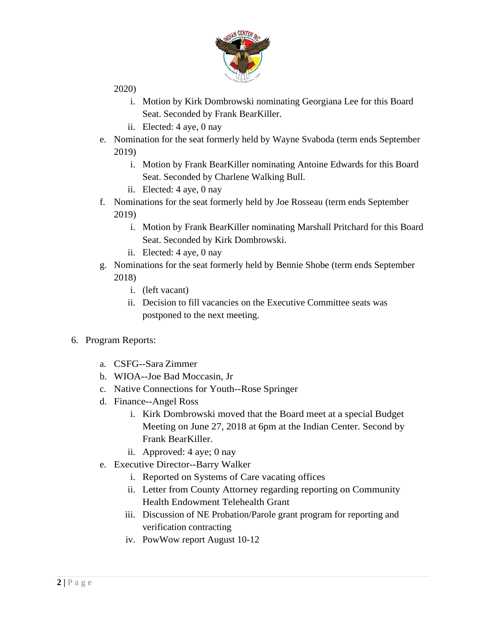

2020)

- i. Motion by Kirk Dombrowski nominating Georgiana Lee for this Board Seat. Seconded by Frank BearKiller.
- ii. Elected: 4 aye, 0 nay
- e. Nomination for the seat formerly held by Wayne Svaboda (term ends September 2019)
	- i. Motion by Frank BearKiller nominating Antoine Edwards for this Board Seat. Seconded by Charlene Walking Bull.
	- ii. Elected: 4 aye, 0 nay
- f. Nominations for the seat formerly held by Joe Rosseau (term ends September 2019)
	- i. Motion by Frank BearKiller nominating Marshall Pritchard for this Board Seat. Seconded by Kirk Dombrowski.
	- ii. Elected: 4 aye, 0 nay
- g. Nominations for the seat formerly held by Bennie Shobe (term ends September 2018)
	- i. (left vacant)
	- ii. Decision to fill vacancies on the Executive Committee seats was postponed to the next meeting.
- 6. Program Reports:
	- a. CSFG--Sara Zimmer
	- b. WIOA--Joe Bad Moccasin, Jr
	- c. Native Connections for Youth--Rose Springer
	- d. Finance--Angel Ross
		- i. Kirk Dombrowski moved that the Board meet at a special Budget Meeting on June 27, 2018 at 6pm at the Indian Center. Second by Frank BearKiller.
		- ii. Approved: 4 aye; 0 nay
	- e. Executive Director--Barry Walker
		- i. Reported on Systems of Care vacating offices
		- ii. Letter from County Attorney regarding reporting on Community Health Endowment Telehealth Grant
		- iii. Discussion of NE Probation/Parole grant program for reporting and verification contracting
		- iv. PowWow report August 10-12